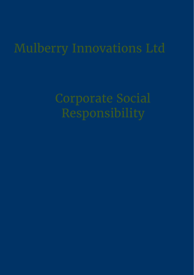# Mulberry Innovations Ltd

Corporate Social Responsibility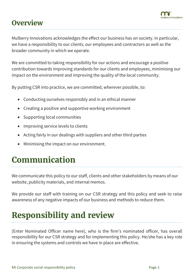

### **Overview**

Mulberry Innovations acknowledges the effect our business has on society. In particular, we have a responsibility to our clients, our employees and contractors as well as the broader community in which we operate.

We are committed to taking responsibility for our actions and encourage a positive contribution towards improving standards for our clients and employees, minimising our impact on the environment and improving the quality of the local community.

By putting CSR into practice, we are committed, wherever possible, to:

- Conducting ourselves responsibly and in an ethical manner
- Creating a positive and supportive working environment
- Supporting local communities
- Improving service levels to clients
- Acting fairly in our dealings with suppliers and other third parties
- Minimising the impact on our environment.

### **Communication**

We communicate this policy to our staff, clients and other stakeholders by means of our website, publicity materials, and internal memos.

We provide our staff with training on our CSR strategy and this policy and seek to raise awareness of any negative impacts of our business and methods to reduce them.

### **Responsibility and review**

[Enter Nominated Officer name here], who is the firm's nominated officer, has overall responsibility for our CSR strategy and for implementing this policy. He/she has a key role in ensuring the systems and controls we have in place are effective.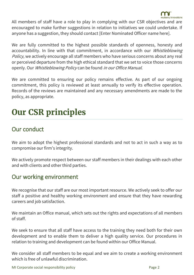

All members of staff have a role to play in complying with our CSR objectives and are encouraged to make further suggestions in relation to initiatives we could undertake. If anyone has a suggestion, they should contact [Enter Nominated Officer name here].

We are fully committed to the highest possible standards of openness, honesty and accountability. In line with that commitment, in accordance with our *Whistleblowing* Policy, we actively encourage all staff members who have serious concerns about any real or perceived departure from the high ethical standard that we set to voice those concerns openly. Our Whistleblowing Policy can be found in our Office Manual.

We are committed to ensuring our policy remains effective. As part of our ongoing commitment, this policy is reviewed at least annually to verify its effective operation. Records of the reviews are maintained and any necessary amendments are made to the policy, as appropriate.

## **Our CSR principles**

#### Our conduct

We aim to adopt the highest professional standards and not to act in such a way as to compromise our firm's integrity.

We actively promote respect between our staff members in their dealings with each other and with clients and other third parties.

#### Our working environment

We recognise that our staff are our most important resource. We actively seek to offer our staff a positive and healthy working environment and ensure that they have rewarding careers and job satisfaction.

We maintain an Office manual, which sets out the rights and expectations of all members of staff.

We seek to ensure that all staff have access to the training they need both for their own development and to enable them to deliver a high quality service. Our procedures in relation to training and development can be found within our Office Manual.

We consider all staff members to be equal and we aim to create a working environment which is free of unlawful discrimination.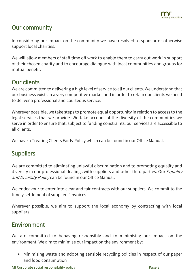#### Our community

In considering our impact on the community we have resolved to sponsor or otherwise support local charities.

We will allow members of staff time off work to enable them to carry out work in support of their chosen charity and to encourage dialogue with local communities and groups for mutual benefit.

#### Our clients

We are committed to delivering a high level of service to all our clients. We understand that our business exists in a very competitive market and in order to retain our clients we need to deliver a professional and courteous service.

Wherever possible, we take steps to promote equal opportunity in relation to access to the legal services that we provide. We take account of the diversity of the communities we serve in order to ensure that, subject to funding constraints, our services are accessible to all clients.

We have a Treating Clients Fairly Policy which can be found in our Office Manual.

#### Suppliers

We are committed to eliminating unlawful discrimination and to promoting equality and diversity in our professional dealings with suppliers and other third parties. Our Equality and Diversity Policy can be found in our Office Manual.

We endeavour to enter into clear and fair contracts with our suppliers. We commit to the timely settlement of suppliers' invoices.

Wherever possible, we aim to support the local economy by contracting with local suppliers.

#### Environment

We are committed to behaving responsibly and to minimising our impact on the environment. We aim to minimise our impact on the environment by:

• Minimising waste and adopting sensible recycling policies in respect of our paper and food consumption